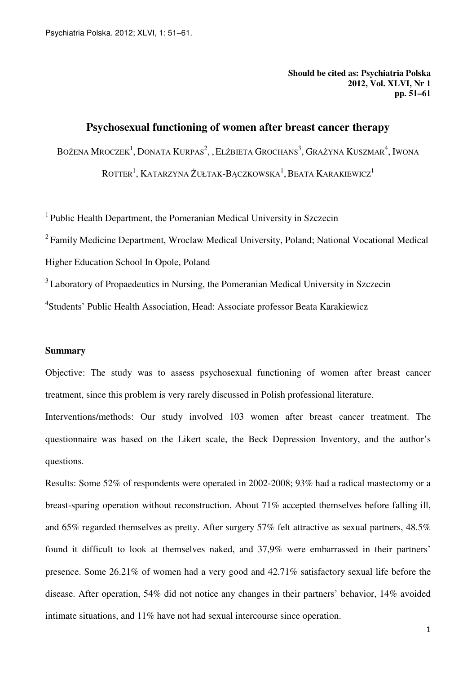**Should be cited as: Psychiatria Polska 2012, Vol. XLVI, Nr 1 pp. 51–61** 

# **Psychosexual functioning of women after breast cancer therapy**

BOŻENA MROCZEK<sup>1</sup>, DONATA KURPAS<sup>2</sup>, "Elżbieta Grochans<sup>3</sup>, Grażyna Kuszmar<sup>4</sup>, Iwona

 $\mathrm{ROTTER}^1, \mathrm{KATARZYNA}$  Żułtak-Bączkowska $^1, \mathrm{BEATA}$  Karakiewicz $^1$ 

<sup>1</sup> Public Health Department, the Pomeranian Medical University in Szczecin

<sup>2</sup>Family Medicine Department, Wroclaw Medical University, Poland; National Vocational Medical Higher Education School In Opole, Poland

<sup>3</sup> Laboratory of Propaedeutics in Nursing, the Pomeranian Medical University in Szczecin

<sup>4</sup>Students' Public Health Association, Head: Associate professor Beata Karakiewicz

### **Summary**

Objective: The study was to assess psychosexual functioning of women after breast cancer treatment, since this problem is very rarely discussed in Polish professional literature.

Interventions/methods: Our study involved 103 women after breast cancer treatment. The questionnaire was based on the Likert scale, the Beck Depression Inventory, and the author's questions.

Results: Some 52% of respondents were operated in 2002-2008; 93% had a radical mastectomy or a breast-sparing operation without reconstruction. About 71% accepted themselves before falling ill, and 65% regarded themselves as pretty. After surgery 57% felt attractive as sexual partners, 48.5% found it difficult to look at themselves naked, and 37,9% were embarrassed in their partners' presence. Some 26.21% of women had a very good and 42.71% satisfactory sexual life before the disease. After operation, 54% did not notice any changes in their partners' behavior, 14% avoided intimate situations, and 11% have not had sexual intercourse since operation.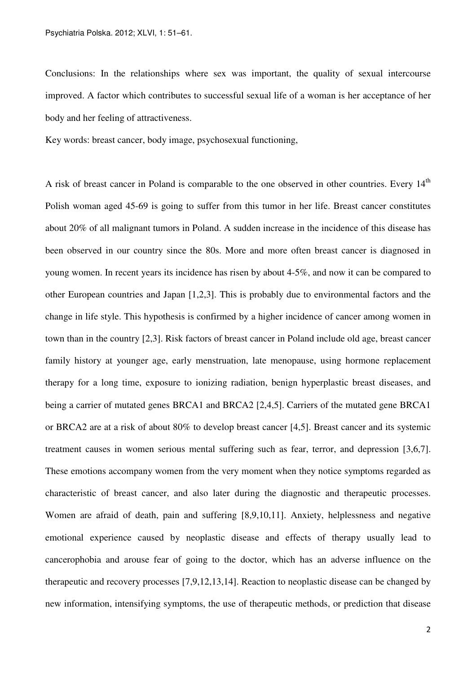Conclusions: In the relationships where sex was important, the quality of sexual intercourse improved. A factor which contributes to successful sexual life of a woman is her acceptance of her body and her feeling of attractiveness.

Key words: breast cancer, body image, psychosexual functioning,

A risk of breast cancer in Poland is comparable to the one observed in other countries. Every 14<sup>th</sup> Polish woman aged 45-69 is going to suffer from this tumor in her life. Breast cancer constitutes about 20% of all malignant tumors in Poland. A sudden increase in the incidence of this disease has been observed in our country since the 80s. More and more often breast cancer is diagnosed in young women. In recent years its incidence has risen by about 4-5%, and now it can be compared to other European countries and Japan [1,2,3]. This is probably due to environmental factors and the change in life style. This hypothesis is confirmed by a higher incidence of cancer among women in town than in the country [2,3]. Risk factors of breast cancer in Poland include old age, breast cancer family history at younger age, early menstruation, late menopause, using hormone replacement therapy for a long time, exposure to ionizing radiation, benign hyperplastic breast diseases, and being a carrier of mutated genes BRCA1 and BRCA2 [2,4,5]. Carriers of the mutated gene BRCA1 or BRCA2 are at a risk of about 80% to develop breast cancer [4,5]. Breast cancer and its systemic treatment causes in women serious mental suffering such as fear, terror, and depression [3,6,7]. These emotions accompany women from the very moment when they notice symptoms regarded as characteristic of breast cancer, and also later during the diagnostic and therapeutic processes. Women are afraid of death, pain and suffering [8,9,10,11]. Anxiety, helplessness and negative emotional experience caused by neoplastic disease and effects of therapy usually lead to cancerophobia and arouse fear of going to the doctor, which has an adverse influence on the therapeutic and recovery processes [7,9,12,13,14]. Reaction to neoplastic disease can be changed by new information, intensifying symptoms, the use of therapeutic methods, or prediction that disease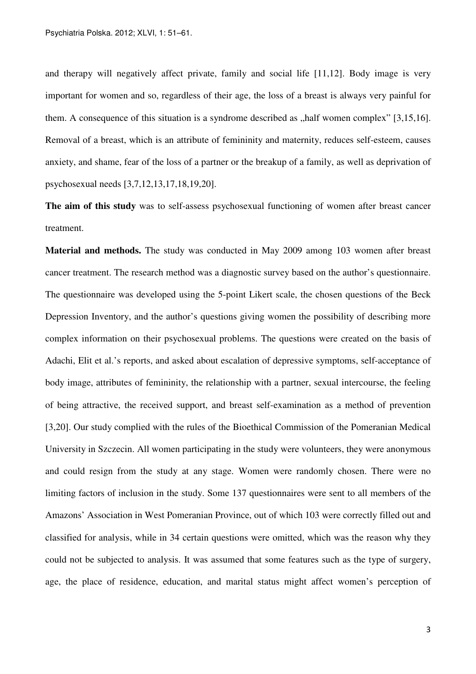and therapy will negatively affect private, family and social life [11,12]. Body image is very important for women and so, regardless of their age, the loss of a breast is always very painful for them. A consequence of this situation is a syndrome described as  $n$ , half women complex" [3,15,16]. Removal of a breast, which is an attribute of femininity and maternity, reduces self-esteem, causes anxiety, and shame, fear of the loss of a partner or the breakup of a family, as well as deprivation of psychosexual needs [3,7,12,13,17,18,19,20].

**The aim of this study** was to self-assess psychosexual functioning of women after breast cancer treatment.

**Material and methods.** The study was conducted in May 2009 among 103 women after breast cancer treatment. The research method was a diagnostic survey based on the author's questionnaire. The questionnaire was developed using the 5-point Likert scale, the chosen questions of the Beck Depression Inventory, and the author's questions giving women the possibility of describing more complex information on their psychosexual problems. The questions were created on the basis of Adachi, Elit et al.'s reports, and asked about escalation of depressive symptoms, self-acceptance of body image, attributes of femininity, the relationship with a partner, sexual intercourse, the feeling of being attractive, the received support, and breast self-examination as a method of prevention [3,20]. Our study complied with the rules of the Bioethical Commission of the Pomeranian Medical University in Szczecin. All women participating in the study were volunteers, they were anonymous and could resign from the study at any stage. Women were randomly chosen. There were no limiting factors of inclusion in the study. Some 137 questionnaires were sent to all members of the Amazons' Association in West Pomeranian Province, out of which 103 were correctly filled out and classified for analysis, while in 34 certain questions were omitted, which was the reason why they could not be subjected to analysis. It was assumed that some features such as the type of surgery, age, the place of residence, education, and marital status might affect women's perception of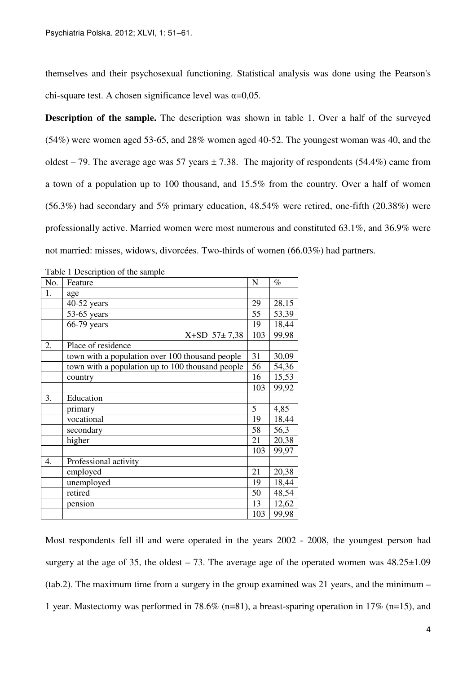themselves and their psychosexual functioning. Statistical analysis was done using the Pearson's chi-square test. A chosen significance level was  $\alpha$ =0,05.

**Description of the sample.** The description was shown in table 1. Over a half of the surveyed (54%) were women aged 53-65, and 28% women aged 40-52. The youngest woman was 40, and the oldest – 79. The average age was 57 years  $\pm$  7.38. The majority of respondents (54.4%) came from a town of a population up to 100 thousand, and 15.5% from the country. Over a half of women (56.3%) had secondary and 5% primary education, 48.54% were retired, one-fifth (20.38%) were professionally active. Married women were most numerous and constituted 63.1%, and 36.9% were not married: misses, widows, divorcées. Two-thirds of women (66.03%) had partners.

| No. | Feature                                          | N   | $\%$  |
|-----|--------------------------------------------------|-----|-------|
| 1.  | age                                              |     |       |
|     | $40-52$ years                                    | 29  | 28,15 |
|     | $53-65$ years                                    | 55  | 53,39 |
|     | $66-79$ years                                    | 19  | 18,44 |
|     | X+SD 57±7,38                                     | 103 | 99,98 |
| 2.  | Place of residence                               |     |       |
|     | town with a population over 100 thousand people  | 31  | 30,09 |
|     | town with a population up to 100 thousand people | 56  | 54,36 |
|     | country                                          | 16  | 15,53 |
|     |                                                  | 103 | 99,92 |
| 3.  | Education                                        |     |       |
|     | primary                                          | 5   | 4,85  |
|     | vocational                                       | 19  | 18,44 |
|     | secondary                                        | 58  | 56,3  |
|     | higher                                           | 21  | 20,38 |
|     |                                                  | 103 | 99,97 |
| 4.  | Professional activity                            |     |       |
|     | employed                                         | 21  | 20,38 |
|     | unemployed                                       | 19  | 18,44 |
|     | retired                                          | 50  | 48,54 |
|     | pension                                          | 13  | 12,62 |
|     |                                                  | 103 | 99,98 |

Table 1 Description of the sample

Most respondents fell ill and were operated in the years 2002 - 2008, the youngest person had surgery at the age of 35, the oldest – 73. The average age of the operated women was  $48.25\pm1.09$ (tab.2). The maximum time from a surgery in the group examined was 21 years, and the minimum – 1 year. Mastectomy was performed in 78.6% (n=81), a breast-sparing operation in 17% (n=15), and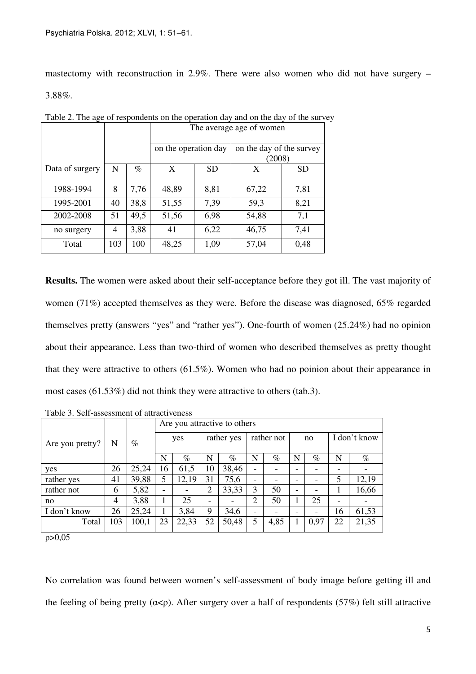mastectomy with reconstruction in 2.9%. There were also women who did not have surgery – 3.88%.

|                 |     |      | The average age of women |           |                                    |           |  |  |  |  |  |
|-----------------|-----|------|--------------------------|-----------|------------------------------------|-----------|--|--|--|--|--|
|                 |     |      | on the operation day     |           | on the day of the survey<br>(2008) |           |  |  |  |  |  |
| Data of surgery | N   | $\%$ | X                        | <b>SD</b> | X                                  | <b>SD</b> |  |  |  |  |  |
| 1988-1994       | 8   | 7,76 | 48,89                    | 8,81      | 67,22                              | 7,81      |  |  |  |  |  |
| 1995-2001       | 40  | 38,8 | 51,55                    | 7,39      | 59,3                               | 8,21      |  |  |  |  |  |
| 2002-2008       | 51  | 49,5 | 51,56                    | 6,98      | 54,88                              | 7,1       |  |  |  |  |  |
| no surgery      | 4   | 3,88 | 41                       | 6,22      | 46,75                              | 7,41      |  |  |  |  |  |
| Total           | 103 | 100  | 48,25                    | 1,09      | 57,04                              | 0,48      |  |  |  |  |  |

Table 2. The age of respondents on the operation day and on the day of the survey

**Results.** The women were asked about their self-acceptance before they got ill. The vast majority of women (71%) accepted themselves as they were. Before the disease was diagnosed, 65% regarded themselves pretty (answers "yes" and "rather yes"). One-fourth of women (25.24%) had no opinion about their appearance. Less than two-third of women who described themselves as pretty thought that they were attractive to others (61.5%). Women who had no poinion about their appearance in most cases (61.53%) did not think they were attractive to others (tab.3).

|                 |                |       | Are you attractive to others |       |                          |            |                          |      |    |      |                          |       |  |
|-----------------|----------------|-------|------------------------------|-------|--------------------------|------------|--------------------------|------|----|------|--------------------------|-------|--|
| Are you pretty? | N              | $\%$  | yes                          |       |                          | rather yes | rather not               |      | no |      | I don't know             |       |  |
|                 |                |       | N                            | $\%$  | N                        | $\%$       | N                        | $\%$ | N  | $\%$ | N                        | $\%$  |  |
| yes             | 26             | 25,24 | 16                           | 61,5  | 10                       | 38,46      |                          |      |    |      |                          |       |  |
| rather yes      | 41             | 39,88 | 5                            | 12,19 | 31                       | 75,6       | -                        |      |    |      | 5                        | 12,19 |  |
| rather not      | 6              | 5,82  | $\overline{\phantom{0}}$     |       | 2                        | 33,33      | 3                        | 50   | -  |      |                          | 16,66 |  |
| no              | $\overline{4}$ | 3,88  |                              | 25    | $\overline{\phantom{0}}$ |            | 2                        | 50   |    | 25   | $\overline{\phantom{0}}$ |       |  |
| I don't know    | 26             | 25,24 |                              | 3,84  | 9                        | 34,6       | $\overline{\phantom{0}}$ | -    |    |      | 16                       | 61,53 |  |
| Total           | 103            | 100,1 | 23                           | 22,33 | 52                       | 50,48      | 5                        | 4,85 |    | 0,97 | 22                       | 21,35 |  |

Table 3. Self-assessment of attractiveness

ρ>0,05

No correlation was found between women's self-assessment of body image before getting ill and the feeling of being pretty ( $\alpha < \rho$ ). After surgery over a half of respondents (57%) felt still attractive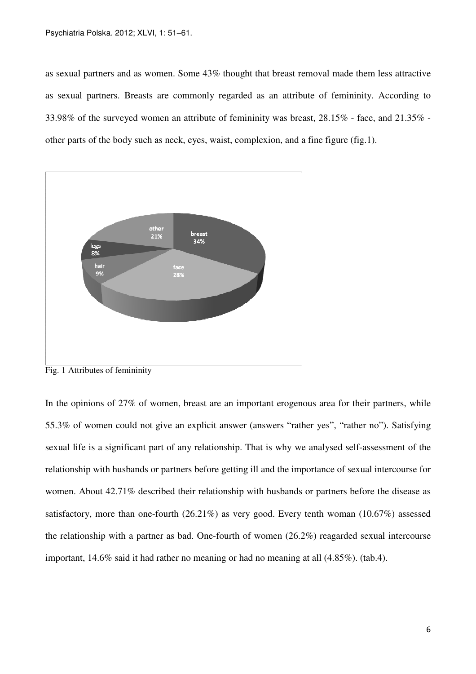as sexual partners and as women. Some 43% thought that breast removal made them less attractive as sexual partners. Breasts are commonly regarded as an attribute of femininity. According to 33.98% of the surveyed women an attribute of femininity was breast, 28.15% - face, and 21.35% other parts of the body such as neck, eyes, waist, complexion, and a fine figure (fig.1).



Fig. 1 Attributes of femininity

In the opinions of 27% of women, breast are an important erogenous area for their partners, while 55.3% of women could not give an explicit answer (answers "rather yes", "rather no"). Satisfying sexual life is a significant part of any relationship. That is why we analysed self-assessment of the relationship with husbands or partners before getting ill and the importance of sexual intercourse for women. About 42.71% described their relationship with husbands or partners before the disease as satisfactory, more than one-fourth (26.21%) as very good. Every tenth woman (10.67%) assessed the relationship with a partner as bad. One-fourth of women (26.2%) reagarded sexual intercourse important, 14.6% said it had rather no meaning or had no meaning at all (4.85%). (tab.4).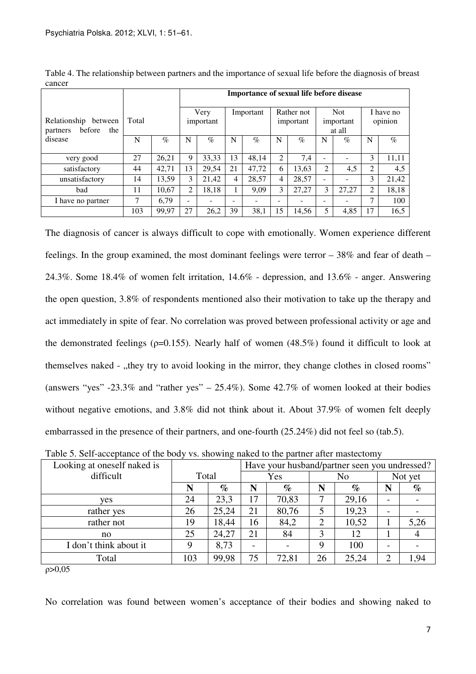|                                                      |       |       | Importance of sexual life before disease |       |           |       |                         |       |                                   |       |                      |       |
|------------------------------------------------------|-------|-------|------------------------------------------|-------|-----------|-------|-------------------------|-------|-----------------------------------|-------|----------------------|-------|
| Relationship<br>between<br>before<br>the<br>partners | Total |       | Very<br>important                        |       | Important |       | Rather not<br>important |       | <b>Not</b><br>important<br>at all |       | I have no<br>opinion |       |
| disease                                              | N     | $\%$  | N                                        | $\%$  | N         | $\%$  | N                       | $\%$  | N                                 | $\%$  | N                    | $\%$  |
| very good                                            | 27    | 26,21 | 9                                        | 33,33 | 13        | 48,14 | 2                       | 7,4   |                                   |       | 3                    | 11,11 |
| satisfactory                                         | 44    | 42,71 | 13                                       | 29,54 | 21        | 47,72 | 6                       | 13,63 | $\overline{2}$                    | 4,5   | $\overline{c}$       | 4,5   |
| unsatisfactory                                       | 14    | 13,59 | 3                                        | 21,42 | 4         | 28,57 | 4                       | 28,57 |                                   |       | 3                    | 21,42 |
| bad                                                  | 11    | 10,67 | 2                                        | 18,18 |           | 9,09  | 3                       | 27,27 | 3                                 | 27,27 | $\overline{c}$       | 18,18 |
| I have no partner                                    | 7     | 6.79  | -                                        |       |           |       | -                       |       |                                   |       | 7                    | 100   |
|                                                      | 103   | 99,97 | 27                                       | 26,2  | 39        | 38,1  | 15                      | 14,56 | 5                                 | 4,85  | 17                   | 16,5  |

Table 4. The relationship between partners and the importance of sexual life before the diagnosis of breast cancer

The diagnosis of cancer is always difficult to cope with emotionally. Women experience different feelings. In the group examined, the most dominant feelings were terror – 38% and fear of death – 24.3%. Some 18.4% of women felt irritation, 14.6% - depression, and 13.6% - anger. Answering the open question, 3.8% of respondents mentioned also their motivation to take up the therapy and act immediately in spite of fear. No correlation was proved between professional activity or age and the demonstrated feelings ( $\rho$ =0.155). Nearly half of women (48.5%) found it difficult to look at themselves naked - "they try to avoid looking in the mirror, they change clothes in closed rooms" (answers "yes" -23.3% and "rather yes" – 25.4%). Some  $42.7\%$  of women looked at their bodies without negative emotions, and 3.8% did not think about it. About 37.9% of women felt deeply embarrassed in the presence of their partners, and one-fourth (25.24%) did not feel so (tab.5).

| Looking at oneself naked is |       |       | Have your husband/partner seen you undressed? |       |    |                |         |      |  |
|-----------------------------|-------|-------|-----------------------------------------------|-------|----|----------------|---------|------|--|
| difficult                   | Total |       |                                               | Yes   |    | N <sub>o</sub> | Not yet |      |  |
|                             | N     | $\%$  | N                                             | $\%$  | N  | $\%$           | N       | $\%$ |  |
| yes                         | 24    | 23,3  | 17                                            | 70,83 | 7  | 29,16          |         |      |  |
| rather yes                  | 26    | 25,24 | 21                                            | 80,76 | 5  | 19,23          |         |      |  |
| rather not                  | 19    | 18,44 | 16                                            | 84,2  | 2  | 10,52          |         | 5,26 |  |
| no                          | 25    | 24,27 | 21                                            | 84    | 3  | 12             |         |      |  |
| I don't think about it      | 9     | 8,73  |                                               |       | 9  | 100            |         |      |  |
| Total                       | 103   | 99,98 | 75                                            | 72,81 | 26 | 25,24          | 2       | 1,94 |  |

Table 5. Self-acceptance of the body vs. showing naked to the partner after mastectomy

 $p > 0,05$ 

No correlation was found between women's acceptance of their bodies and showing naked to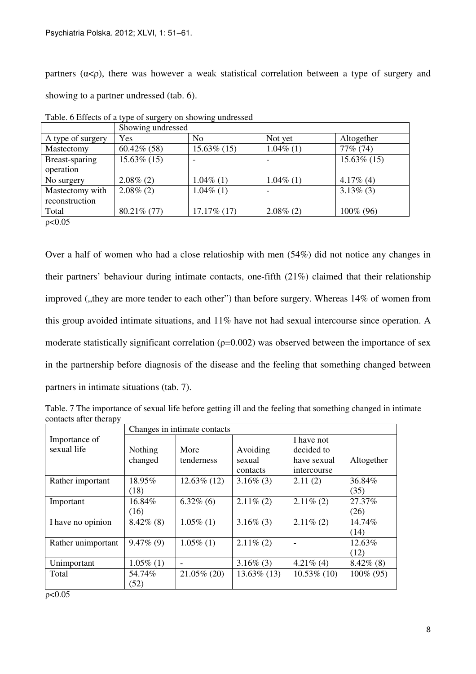partners ( $\alpha < \rho$ ), there was however a weak statistical correlation between a type of surgery and showing to a partner undressed (tab. 6).

|                   | Showing undressed |                |              |                |
|-------------------|-------------------|----------------|--------------|----------------|
| A type of surgery | Yes               | N <sub>0</sub> | Not yet      | Altogether     |
| Mastectomy        | $60.42\%$ (58)    | $15.63\%$ (15) | $1.04\%$ (1) | 77% (74)       |
| Breast-sparing    | $15.63\%$ (15)    |                |              | $15.63\%$ (15) |
| operation         |                   |                |              |                |
| No surgery        | $2.08\%$ (2)      | $1.04\%$ (1)   | $1.04\%$ (1) | $4.17\%$ (4)   |
| Mastectomy with   | $2.08\%$ (2)      | $1.04\%$ (1)   |              | $3.13\%$ (3)   |
| reconstruction    |                   |                |              |                |
| Total             | 80.21% (77)       | $17.17\%$ (17) | $2.08\%$ (2) | 100% (96)      |

Table. 6 Effects of a type of surgery on showing undressed

ρ<0.05

Over a half of women who had a close relatioship with men (54%) did not notice any changes in their partners' behaviour during intimate contacts, one-fifth (21%) claimed that their relationship improved ("they are more tender to each other") than before surgery. Whereas 14% of women from this group avoided intimate situations, and 11% have not had sexual intercourse since operation. A moderate statistically significant correlation ( $p=0.002$ ) was observed between the importance of sex in the partnership before diagnosis of the disease and the feeling that something changed between partners in intimate situations (tab. 7).

Table. 7 The importance of sexual life before getting ill and the feeling that something changed in intimate contacts after therapy

|                    | Changes in intimate contacts |                |                |                |              |  |  |  |
|--------------------|------------------------------|----------------|----------------|----------------|--------------|--|--|--|
| Importance of      |                              |                |                | I have not     |              |  |  |  |
| sexual life        | Nothing                      | More           | Avoiding       | decided to     |              |  |  |  |
|                    | changed                      | tenderness     | sexual         | have sexual    | Altogether   |  |  |  |
|                    |                              |                | contacts       | intercourse    |              |  |  |  |
| Rather important   | 18.95%                       | $12.63\%$ (12) | $3.16\%$ (3)   | 2.11(2)        | 36.84%       |  |  |  |
|                    | (18)                         |                |                |                | (35)         |  |  |  |
| Important          | 16.84%                       | $6.32\%$ (6)   | $2.11\%$ (2)   | $2.11\%$ (2)   | 27.37%       |  |  |  |
|                    | (16)                         |                |                |                | (26)         |  |  |  |
| I have no opinion  | $8.42\%$ (8)                 | $1.05\%$ (1)   | $3.16\%$ (3)   | $2.11\%$ (2)   | 14.74%       |  |  |  |
|                    |                              |                |                |                | (14)         |  |  |  |
| Rather unimportant | $9.47\%$ (9)                 | $1.05\%$ (1)   | $2.11\%$ (2)   |                | 12.63%       |  |  |  |
|                    |                              |                |                |                | (12)         |  |  |  |
| Unimportant        | $1.05\%$ (1)                 |                | $3.16\%$ (3)   | $4.21\%$ (4)   | $8.42\%$ (8) |  |  |  |
| Total              | 54.74%                       | 21.05% (20)    | $13.63\%$ (13) | $10.53\%$ (10) | 100% (95)    |  |  |  |
|                    | (52)                         |                |                |                |              |  |  |  |

ρ<0.05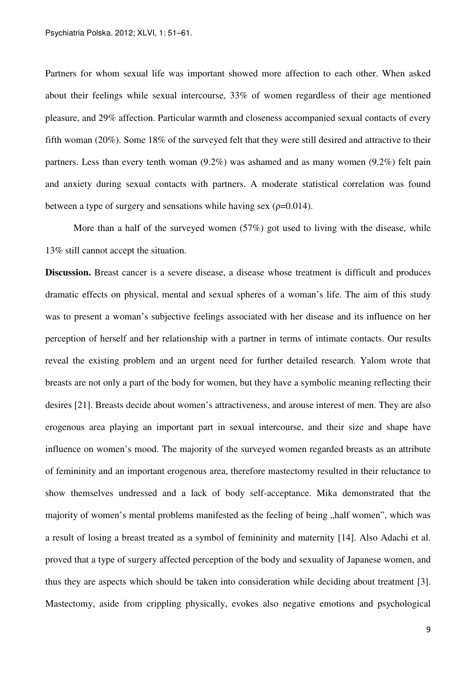Partners for whom sexual life was important showed more affection to each other. When asked about their feelings while sexual intercourse, 33% of women regardless of their age mentioned pleasure, and 29% affection. Particular warmth and closeness accompanied sexual contacts of every fifth woman (20%). Some 18% of the surveyed felt that they were still desired and attractive to their partners. Less than every tenth woman (9.2%) was ashamed and as many women (9.2%) felt pain and anxiety during sexual contacts with partners. A moderate statistical correlation was found between a type of surgery and sensations while having sex ( $\rho$ =0.014).

More than a half of the surveyed women (57%) got used to living with the disease, while 13% still cannot accept the situation.

**Discussion.** Breast cancer is a severe disease, a disease whose treatment is difficult and produces dramatic effects on physical, mental and sexual spheres of a woman's life. The aim of this study was to present a woman's subjective feelings associated with her disease and its influence on her perception of herself and her relationship with a partner in terms of intimate contacts. Our results reveal the existing problem and an urgent need for further detailed research. Yalom wrote that breasts are not only a part of the body for women, but they have a symbolic meaning reflecting their desires [21]. Breasts decide about women's attractiveness, and arouse interest of men. They are also erogenous area playing an important part in sexual intercourse, and their size and shape have influence on women's mood. The majority of the surveyed women regarded breasts as an attribute of femininity and an important erogenous area, therefore mastectomy resulted in their reluctance to show themselves undressed and a lack of body self-acceptance. Mika demonstrated that the majority of women's mental problems manifested as the feeling of being , half women", which was a result of losing a breast treated as a symbol of femininity and maternity [14]. Also Adachi et al. proved that a type of surgery affected perception of the body and sexuality of Japanese women, and thus they are aspects which should be taken into consideration while deciding about treatment [3]. Mastectomy, aside from crippling physically, evokes also negative emotions and psychological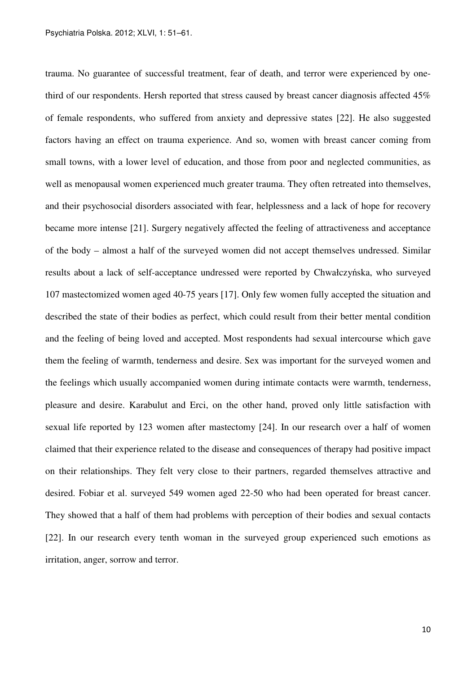trauma. No guarantee of successful treatment, fear of death, and terror were experienced by onethird of our respondents. Hersh reported that stress caused by breast cancer diagnosis affected 45% of female respondents, who suffered from anxiety and depressive states [22]. He also suggested factors having an effect on trauma experience. And so, women with breast cancer coming from small towns, with a lower level of education, and those from poor and neglected communities, as well as menopausal women experienced much greater trauma. They often retreated into themselves, and their psychosocial disorders associated with fear, helplessness and a lack of hope for recovery became more intense [21]. Surgery negatively affected the feeling of attractiveness and acceptance of the body – almost a half of the surveyed women did not accept themselves undressed. Similar results about a lack of self-acceptance undressed were reported by Chwałczyńska, who surveyed 107 mastectomized women aged 40-75 years [17]. Only few women fully accepted the situation and described the state of their bodies as perfect, which could result from their better mental condition and the feeling of being loved and accepted. Most respondents had sexual intercourse which gave them the feeling of warmth, tenderness and desire. Sex was important for the surveyed women and the feelings which usually accompanied women during intimate contacts were warmth, tenderness, pleasure and desire. Karabulut and Erci, on the other hand, proved only little satisfaction with sexual life reported by 123 women after mastectomy [24]. In our research over a half of women claimed that their experience related to the disease and consequences of therapy had positive impact on their relationships. They felt very close to their partners, regarded themselves attractive and desired. Fobiar et al. surveyed 549 women aged 22-50 who had been operated for breast cancer. They showed that a half of them had problems with perception of their bodies and sexual contacts [22]. In our research every tenth woman in the surveyed group experienced such emotions as irritation, anger, sorrow and terror.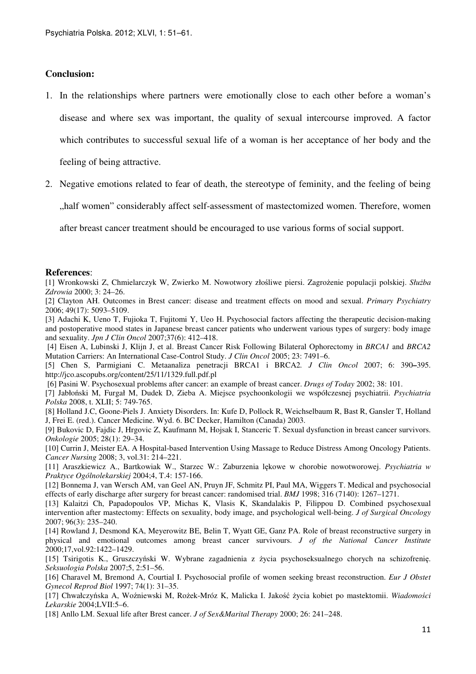### **Conclusion:**

1. In the relationships where partners were emotionally close to each other before a woman's disease and where sex was important, the quality of sexual intercourse improved. A factor which contributes to successful sexual life of a woman is her acceptance of her body and the

feeling of being attractive.

2. Negative emotions related to fear of death, the stereotype of feminity, and the feeling of being

"half women" considerably affect self-assessment of mastectomized women. Therefore, women,

after breast cancer treatment should be encouraged to use various forms of social support.

#### **References**:

[1] Wronkowski Z, Chmielarczyk W, Zwierko M. Nowotwory złośliwe piersi. Zagrożenie populacji polskiej. *Słu*ż*ba Zdrowia* 2000; 3: 24–26.

[2] Clayton AH. Outcomes in Brest cancer: disease and treatment effects on mood and sexual. *Primary Psychiatry*  2006; 49(17): 5093–5109.

[3] Adachi K, Ueno T, Fujioka T, Fujitomi Y, Ueo H. Psychosocial factors affecting the therapeutic decision-making and postoperative mood states in Japanese breast cancer patients who underwent various types of surgery: body image and sexuality. *Jpn J Clin Oncol* 2007;37(6): 412–418.

 [4] Eisen A, Lubinski J, Klijn J, et al. Breast Cancer Risk Following Bilateral Ophorectomy in *BRCA1* and *BRCA2* Mutation Carriers: An International Case-Control Study. *J Clin Oncol* 2005; 23: 7491–6.

[5] Chen S, Parmigiani C. Metaanaliza penetracji BRCA1 i BRCA2*. J Clin Oncol* 2007; 6: 390**–**395. http://jco.ascopubs.org/content/25/11/1329.full.pdf.pl

[6] Pasini W. Psychosexual problems after cancer: an example of breast cancer. *Drugs of Today* 2002; 38: 101.

[7] Jabłoński M, Furgał M, Dudek D, Zieba A. Miejsce psychoonkologii we współczesnej psychiatrii. *Psychiatria Polska* 2008, t. XLII; 5: 749-765.

[8] Holland J.C, Goone-Piels J. Anxiety Disorders. In: Kufe D, Pollock R, Weichselbaum R, Bast R, Gansler T, Holland J, Frei E. (red.). Cancer Medicine. Wyd. 6. BC Decker, Hamilton (Canada) 2003.

[9] Bukovic D, Fajdic J, Hrgovic Z, Kaufmann M, Hojsak I, Stanceric T. Sexual dysfunction in breast cancer survivors. *Onkologie* 2005; 28(1): 29–34.

[10] Currin J, Meister EA. A Hospital-based Intervention Using Massage to Reduce Distress Among Oncology Patients. *Cancer Nursing* 2008; 3, vol.31: 214–221.

[11] Araszkiewicz A., Bartkowiak W., Starzec W.: Zaburzenia lękowe w chorobie nowotworowej. *Psychiatria w Praktyce Ogólnolekarskiej* 2004;4, T.4: 157-166.

[12] Bonnema J, van Wersch AM, van Geel AN, Pruyn JF, Schmitz PI, Paul MA, Wiggers T. Medical and psychosocial effects of early discharge after surgery for breast cancer: randomised trial. *BMJ* 1998; 316 (7140): 1267–1271.

[13] Kalaitzi Ch, Papadopoulos VP, Michas K, Vlasis K, Skandalakis P, Filippou D. Combined psychosexual intervention after mastectomy: Effects on sexuality, body image, and psychological well-being. *J of Surgical Oncology*  2007; 96(3): 235–240.

[14] Rowland J, Desmond KA, Meyerowitz BE, Belin T, Wyatt GE, Ganz PA. Role of breast reconstructive surgery in physical and emotional outcomes among breast cancer survivours. *J of the National Cancer Institute* 2000;17,vol.92:1422–1429.

[15] Tsirigotis K., Gruszczyński W. Wybrane zagadnienia z życia psychoseksualnego chorych na schizofrenię. *Seksuologia Polska* 2007;5, 2:51–56.

[16] Charavel M, Bremond A, Courtial I. Psychosocial profile of women seeking breast reconstruction. *Eur J Obstet Gynecol Reprod Biol* 1997; 74(1): 31–35.

[17] Chwałczyńska A, Woźniewski M, Rożek-Mróz K, Malicka I. Jakość życia kobiet po mastektomii. *Wiadomo*ś*ci Lekarskie* 2004;LVII:5–6.

[18] Anllo LM. Sexual life after Brest cancer. *J of Sex&Marital Therapy* 2000; 26: 241–248.